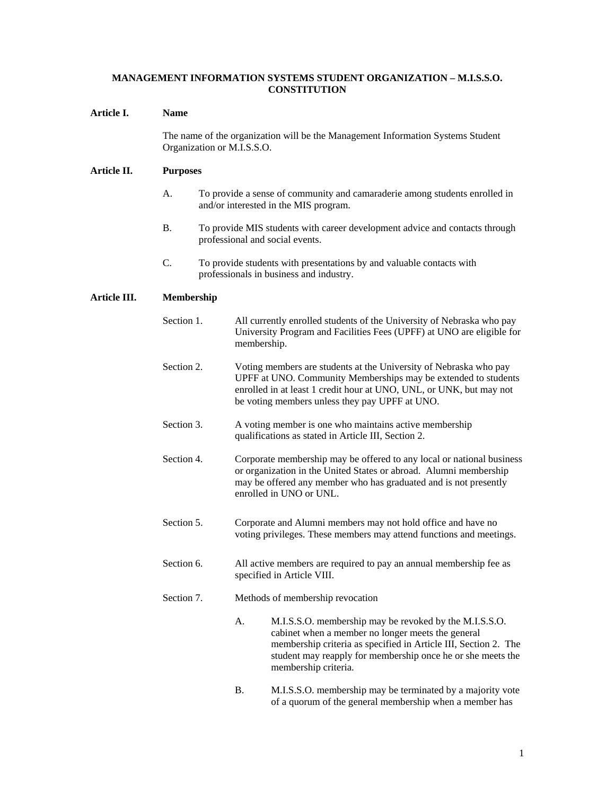# **MANAGEMENT INFORMATION SYSTEMS STUDENT ORGANIZATION – M.I.S.S.O. CONSTITUTION**

# **Article I. Name**

The name of the organization will be the Management Information Systems Student Organization or M.I.S.S.O.

### **Article II. Purposes**

- A. To provide a sense of community and camaraderie among students enrolled in and/or interested in the MIS program.
- B. To provide MIS students with career development advice and contacts through professional and social events.
- C. To provide students with presentations by and valuable contacts with professionals in business and industry.

# **Article III. Membership**

| Section 1. |           | All currently enrolled students of the University of Nebraska who pay<br>University Program and Facilities Fees (UPFF) at UNO are eligible for<br>membership.                                                                                                         |
|------------|-----------|-----------------------------------------------------------------------------------------------------------------------------------------------------------------------------------------------------------------------------------------------------------------------|
| Section 2. |           | Voting members are students at the University of Nebraska who pay<br>UPFF at UNO. Community Memberships may be extended to students<br>enrolled in at least 1 credit hour at UNO, UNL, or UNK, but may not<br>be voting members unless they pay UPFF at UNO.          |
| Section 3. |           | A voting member is one who maintains active membership<br>qualifications as stated in Article III, Section 2.                                                                                                                                                         |
| Section 4. |           | Corporate membership may be offered to any local or national business<br>or organization in the United States or abroad. Alumni membership<br>may be offered any member who has graduated and is not presently<br>enrolled in UNO or UNL.                             |
| Section 5. |           | Corporate and Alumni members may not hold office and have no<br>voting privileges. These members may attend functions and meetings.                                                                                                                                   |
| Section 6. |           | All active members are required to pay an annual membership fee as<br>specified in Article VIII.                                                                                                                                                                      |
| Section 7. |           | Methods of membership revocation                                                                                                                                                                                                                                      |
|            | A.        | M.I.S.S.O. membership may be revoked by the M.I.S.S.O.<br>cabinet when a member no longer meets the general<br>membership criteria as specified in Article III, Section 2. The<br>student may reapply for membership once he or she meets the<br>membership criteria. |
|            | <b>B.</b> | M.I.S.S.O. membership may be terminated by a majority vote<br>of a quorum of the general membership when a member has                                                                                                                                                 |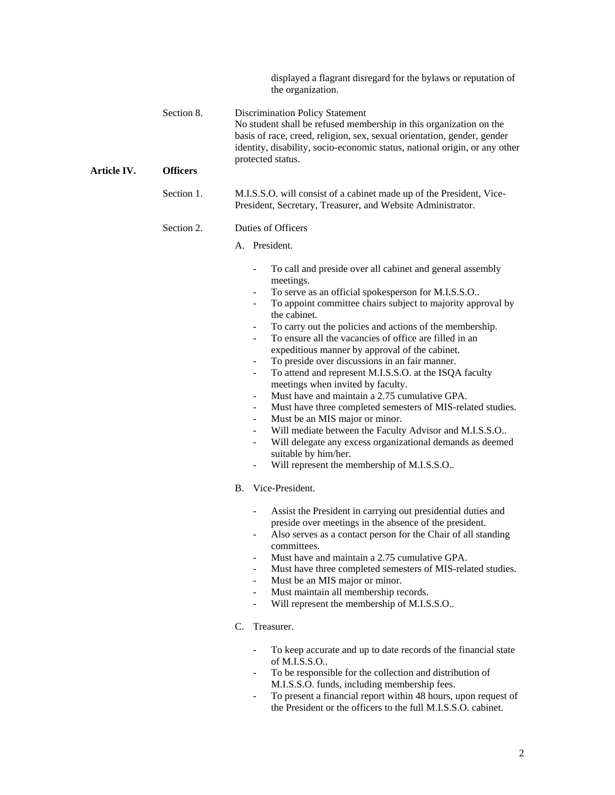displayed a flagrant disregard for the bylaws or reputation of the organization.

| Section 8. | <b>Discrimination Policy Statement</b>                                     |
|------------|----------------------------------------------------------------------------|
|            | No student shall be refused membership in this organization on the         |
|            | basis of race, creed, religion, sex, sexual orientation, gender, gender    |
|            | identity, disability, socio-economic status, national origin, or any other |
|            | protected status.                                                          |
| )fficare   |                                                                            |

### **Article IV. Officers**

Section 1. M.I.S.S.O. will consist of a cabinet made up of the President, Vice-President, Secretary, Treasurer, and Website Administrator.

### Section 2. Duties of Officers

#### A. President.

- To call and preside over all cabinet and general assembly meetings.
- To serve as an official spokesperson for M.I.S.S.O..
- To appoint committee chairs subject to majority approval by the cabinet.
- To carry out the policies and actions of the membership.
- To ensure all the vacancies of office are filled in an expeditious manner by approval of the cabinet.
- To preside over discussions in an fair manner.
- To attend and represent M.I.S.S.O. at the ISQA faculty meetings when invited by faculty.
- Must have and maintain a 2.75 cumulative GPA.
- Must have three completed semesters of MIS-related studies.
	- Must be an MIS major or minor.
- Will mediate between the Faculty Advisor and M.I.S.S.O..
- Will delegate any excess organizational demands as deemed suitable by him/her.
- Will represent the membership of M.I.S.S.O..
- B. Vice-President.
	- Assist the President in carrying out presidential duties and preside over meetings in the absence of the president.
	- Also serves as a contact person for the Chair of all standing committees.
	- Must have and maintain a 2.75 cumulative GPA.
	- Must have three completed semesters of MIS-related studies.
	- Must be an MIS major or minor.
	- Must maintain all membership records.
	- Will represent the membership of M.I.S.S.O..
- C. Treasurer.
	- To keep accurate and up to date records of the financial state of M.I.S.S.O..
	- To be responsible for the collection and distribution of M.I.S.S.O. funds, including membership fees.
	- To present a financial report within 48 hours, upon request of the President or the officers to the full M.I.S.S.O. cabinet.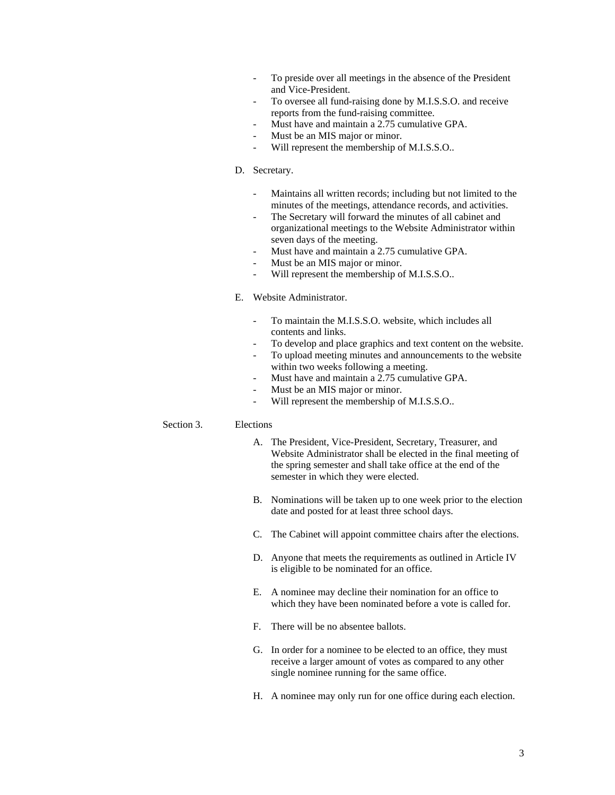- To preside over all meetings in the absence of the President and Vice-President.
- To oversee all fund-raising done by M.I.S.S.O. and receive reports from the fund-raising committee.
- Must have and maintain a 2.75 cumulative GPA.
- Must be an MIS major or minor.
- Will represent the membership of M.I.S.S.O..
- D. Secretary.
	- Maintains all written records; including but not limited to the minutes of the meetings, attendance records, and activities.
	- The Secretary will forward the minutes of all cabinet and organizational meetings to the Website Administrator within seven days of the meeting.
	- Must have and maintain a 2.75 cumulative GPA.
	- Must be an MIS major or minor.
	- Will represent the membership of M.I.S.S.O..

### E. Website Administrator.

- To maintain the M.I.S.S.O. website, which includes all contents and links.
- To develop and place graphics and text content on the website.
- To upload meeting minutes and announcements to the website within two weeks following a meeting.
- Must have and maintain a 2.75 cumulative GPA.
- Must be an MIS major or minor.
- Will represent the membership of M.I.S.S.O..

### Section 3. Elections

- A. The President, Vice-President, Secretary, Treasurer, and Website Administrator shall be elected in the final meeting of the spring semester and shall take office at the end of the semester in which they were elected.
- B. Nominations will be taken up to one week prior to the election date and posted for at least three school days.
- C. The Cabinet will appoint committee chairs after the elections.
- D. Anyone that meets the requirements as outlined in Article IV is eligible to be nominated for an office.
- E. A nominee may decline their nomination for an office to which they have been nominated before a vote is called for.
- F. There will be no absentee ballots.
- G. In order for a nominee to be elected to an office, they must receive a larger amount of votes as compared to any other single nominee running for the same office.
- H. A nominee may only run for one office during each election.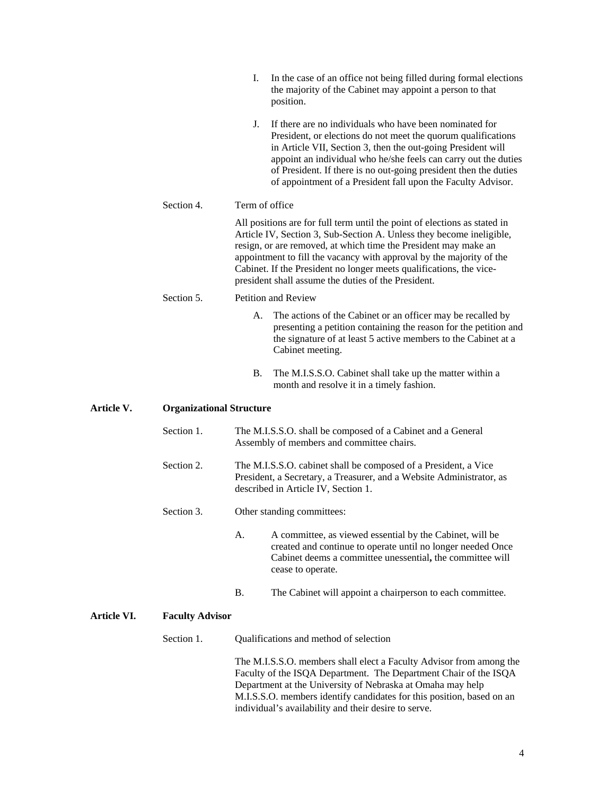|            |            | In the case of an office not being filled during formal elections<br>Ι.<br>the majority of the Cabinet may appoint a person to that<br>position.                                                                                                                                                                                                                                                                           |  |  |  |  |
|------------|------------|----------------------------------------------------------------------------------------------------------------------------------------------------------------------------------------------------------------------------------------------------------------------------------------------------------------------------------------------------------------------------------------------------------------------------|--|--|--|--|
|            |            | If there are no individuals who have been nominated for<br>J.<br>President, or elections do not meet the quorum qualifications<br>in Article VII, Section 3, then the out-going President will<br>appoint an individual who he/she feels can carry out the duties<br>of President. If there is no out-going president then the duties<br>of appointment of a President fall upon the Faculty Advisor.                      |  |  |  |  |
|            | Section 4. | Term of office                                                                                                                                                                                                                                                                                                                                                                                                             |  |  |  |  |
|            |            | All positions are for full term until the point of elections as stated in<br>Article IV, Section 3, Sub-Section A. Unless they become ineligible,<br>resign, or are removed, at which time the President may make an<br>appointment to fill the vacancy with approval by the majority of the<br>Cabinet. If the President no longer meets qualifications, the vice-<br>president shall assume the duties of the President. |  |  |  |  |
|            | Section 5. | <b>Petition and Review</b>                                                                                                                                                                                                                                                                                                                                                                                                 |  |  |  |  |
|            |            | The actions of the Cabinet or an officer may be recalled by<br>А.<br>presenting a petition containing the reason for the petition and<br>the signature of at least 5 active members to the Cabinet at a<br>Cabinet meeting.                                                                                                                                                                                                |  |  |  |  |
|            |            | В.<br>The M.I.S.S.O. Cabinet shall take up the matter within a<br>month and resolve it in a timely fashion.                                                                                                                                                                                                                                                                                                                |  |  |  |  |
| Article V. |            | <b>Organizational Structure</b>                                                                                                                                                                                                                                                                                                                                                                                            |  |  |  |  |
|            | Section 1. | The M.I.S.S.O. shall be composed of a Cabinet and a General<br>Assembly of members and committee chairs.                                                                                                                                                                                                                                                                                                                   |  |  |  |  |
|            | Section 2. | The M.I.S.S.O. cabinet shall be composed of a President, a Vice<br>President, a Secretary, a Treasurer, and a Website Administrator, as<br>described in Article IV, Section 1.                                                                                                                                                                                                                                             |  |  |  |  |
|            | Section 3. | Other standing committees:                                                                                                                                                                                                                                                                                                                                                                                                 |  |  |  |  |
|            |            | A committee, as viewed essential by the Cabinet, will be<br>А.<br>created and continue to operate until no longer needed Once<br>Cabinet deems a committee unessential, the committee will<br>cease to operate.                                                                                                                                                                                                            |  |  |  |  |

B. The Cabinet will appoint a chairperson to each committee.

# **Article VI. Faculty Advisor**

Section 1. Qualifications and method of selection

The M.I.S.S.O. members shall elect a Faculty Advisor from among the Faculty of the ISQA Department. The Department Chair of the ISQA Department at the University of Nebraska at Omaha may help M.I.S.S.O. members identify candidates for this position, based on an individual's availability and their desire to serve.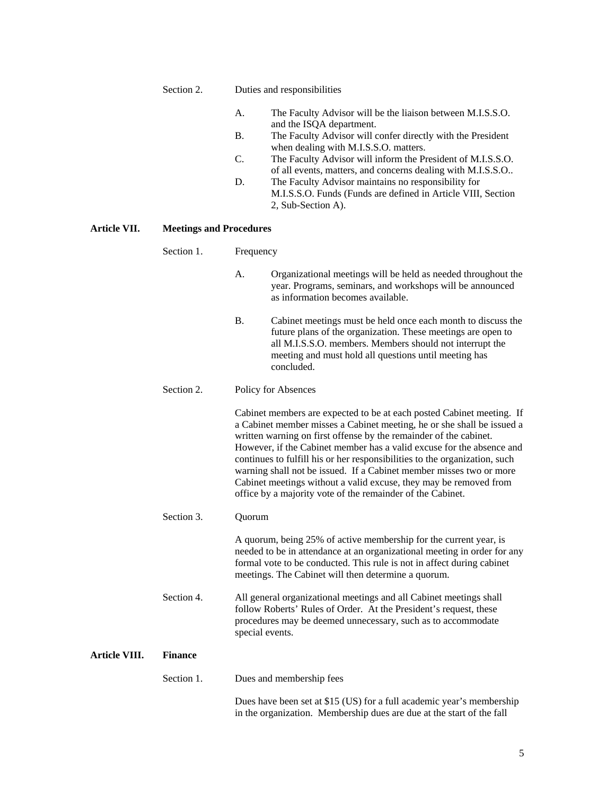### Section 2. Duties and responsibilities

- A. The Faculty Advisor will be the liaison between M.I.S.S.O. and the ISQA department.
- B. The Faculty Advisor will confer directly with the President when dealing with M.I.S.S.O. matters.
- C. The Faculty Advisor will inform the President of M.I.S.S.O. of all events, matters, and concerns dealing with M.I.S.S.O..
- D. The Faculty Advisor maintains no responsibility for M.I.S.S.O. Funds (Funds are defined in Article VIII, Section 2, Sub-Section A).

# **Article VII. Meetings and Procedures**

|               | Section 1.     | Frequency                                                                                                                                                                                                                                                                                                                                                                                                                                                                                                                                                                             |
|---------------|----------------|---------------------------------------------------------------------------------------------------------------------------------------------------------------------------------------------------------------------------------------------------------------------------------------------------------------------------------------------------------------------------------------------------------------------------------------------------------------------------------------------------------------------------------------------------------------------------------------|
|               |                | А.<br>Organizational meetings will be held as needed throughout the<br>year. Programs, seminars, and workshops will be announced<br>as information becomes available.                                                                                                                                                                                                                                                                                                                                                                                                                 |
|               |                | Β.<br>Cabinet meetings must be held once each month to discuss the<br>future plans of the organization. These meetings are open to<br>all M.I.S.S.O. members. Members should not interrupt the<br>meeting and must hold all questions until meeting has<br>concluded.                                                                                                                                                                                                                                                                                                                 |
|               | Section 2.     | Policy for Absences                                                                                                                                                                                                                                                                                                                                                                                                                                                                                                                                                                   |
|               |                | Cabinet members are expected to be at each posted Cabinet meeting. If<br>a Cabinet member misses a Cabinet meeting, he or she shall be issued a<br>written warning on first offense by the remainder of the cabinet.<br>However, if the Cabinet member has a valid excuse for the absence and<br>continues to fulfill his or her responsibilities to the organization, such<br>warning shall not be issued. If a Cabinet member misses two or more<br>Cabinet meetings without a valid excuse, they may be removed from<br>office by a majority vote of the remainder of the Cabinet. |
|               | Section 3.     | Quorum                                                                                                                                                                                                                                                                                                                                                                                                                                                                                                                                                                                |
|               |                | A quorum, being 25% of active membership for the current year, is<br>needed to be in attendance at an organizational meeting in order for any<br>formal vote to be conducted. This rule is not in affect during cabinet<br>meetings. The Cabinet will then determine a quorum.                                                                                                                                                                                                                                                                                                        |
|               | Section 4.     | All general organizational meetings and all Cabinet meetings shall<br>follow Roberts' Rules of Order. At the President's request, these<br>procedures may be deemed unnecessary, such as to accommodate<br>special events.                                                                                                                                                                                                                                                                                                                                                            |
| Article VIII. | <b>Finance</b> |                                                                                                                                                                                                                                                                                                                                                                                                                                                                                                                                                                                       |
|               | Section 1.     | Dues and membership fees                                                                                                                                                                                                                                                                                                                                                                                                                                                                                                                                                              |
|               |                | Dues have been set at \$15 (US) for a full academic year's membership<br>in the organization. Membership dues are due at the start of the fall                                                                                                                                                                                                                                                                                                                                                                                                                                        |